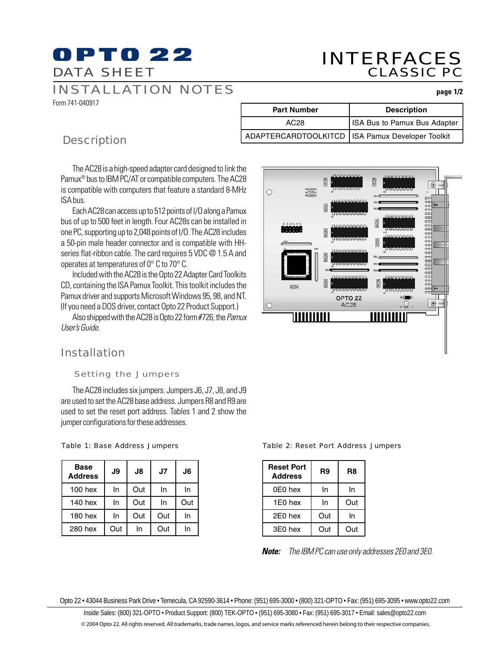# **OPTO 22** DATA SHEET

# INTERFACES CLASSIC PC

# INSTALLATION NOTES

Form 741-040917

| <b>Part Number</b>                                 | <b>Description</b>           |
|----------------------------------------------------|------------------------------|
| AC28                                               | ISA Bus to Pamux Bus Adapter |
| ADAPTERCARDTOOLKITCD   ISA Pamux Developer Toolkit |                              |

# **Description**

The AC28 is a high-speed adapter card designed to link the Pamux® bus to IBM PC/AT or compatible computers. The AC28 is compatible with computers that feature a standard 8-MHz ISA bus.

Each AC28 can access up to 512 points of I/O along a Pamux bus of up to 500 feet in length. Four AC28s can be installed in one PC, supporting up to 2,048 points of I/O. The AC28 includes a 50-pin male header connector and is compatible with HHseries flat-ribbon cable. The card requires 5 VDC @ 1.5 A and operates at temperatures of 0° C to 70° C.

Included with the AC28 is the Opto 22 Adapter Card Toolkits CD, containing the ISA Pamux Toolkit. This toolkit includes the Pamux driver and supports Microsoft Windows 95, 98, and NT. (If you need a DOS driver, contact Opto 22 Product Support.)

Also shipped with the AC28 is Opto 22 form #726, the Pamux User's Guide.

# Installation

## Setting the Jumpers

The AC28 includes six jumpers. Jumpers J6, J7, J8, and J9 are used to set the AC28 base address. Jumpers R8 and R9 are used to set the reset port address. Tables 1 and 2 show the jumper configurations for these addresses.

### Table 1: Base Address Jumpers

| <b>Base</b><br><b>Address</b> | J9  | J8  | J7  | J6  |
|-------------------------------|-----|-----|-----|-----|
| $100$ hex                     | In  | Out | In  | In  |
| 140 hex                       | In  | Out | In  | Out |
| 180 hex                       | In  | Out | Out | In  |
| 280 hex                       | Out | In  | Out | In  |



Table 2: Reset Port Address Jumpers

| <b>Reset Port</b><br><b>Address</b> | R9  | R8  |  |
|-------------------------------------|-----|-----|--|
| 0E0 hex                             | In  | In  |  |
| 1E0 hex                             | In  | Out |  |
| 2E0 hex                             | Out | In  |  |
| 3E0 hex                             | Out | Out |  |

**Note:** The IBM PC can use only addresses 2E0 and 3E0.

Opto 22 • 43044 Business Park Drive • Temecula, CA 92590-3614 • Phone: (951) 695-3000 • (800) 321-OPTO • Fax: (951) 695-3095 • www.opto22.com

Inside Sales: (800) 321-OPTO • Product Support: (800) TEK-OPTO • (951) 695-3080 • Fax: (951) 695-3017 • Email: sales@opto22.com © 2004 Opto 22. All rights reserved. All trademarks, trade names, logos, and service marks referenced herein belong to their respective companies.

#### **page 1/2**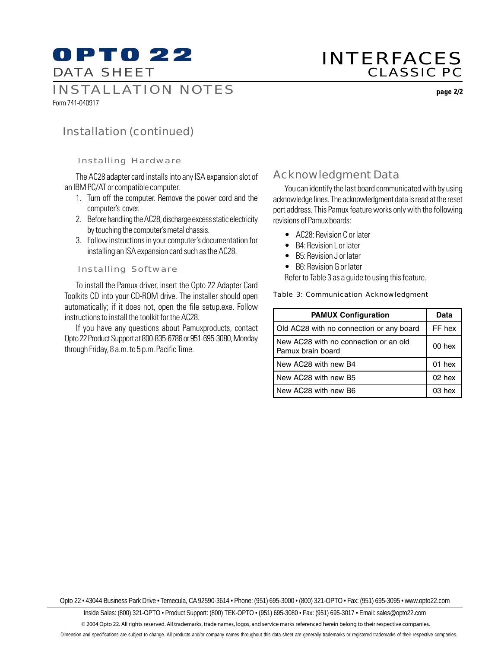# **OPTO 22** DATA SHEET

# INTERFACES CLASSIC PC

INSTALLATION NOTES

Form 741-040917

**page 2/2**

# Installation (continued)

## Installing Hardware

The AC28 adapter card installs into any ISA expansion slot of an IBM PC/AT or compatible computer.

- 1. Turn off the computer. Remove the power cord and the computer's cover.
- 2. Before handling the AC28, discharge excess static electricity by touching the computer's metal chassis.
- 3. Follow instructions in your computer's documentation for installing an ISA expansion card such as the AC28.

### Installing Software

To install the Pamux driver, insert the Opto 22 Adapter Card Toolkits CD into your CD-ROM drive. The installer should open automatically; if it does not, open the file setup.exe. Follow instructions to install the toolkit for the AC28.

If you have any questions about Pamuxproducts, contact Opto 22 Product Support at 800-835-6786 or 951-695-3080, Monday through Friday, 8 a.m. to 5 p.m. Pacific Time.

# Acknowledgment Data

You can identify the last board communicated with by using acknowledge lines. The acknowledgment data is read at the reset port address. This Pamux feature works only with the following revisions of Pamux boards:

- AC28: Revision C or later
- B4: Revision Lor later
- B5: Revision J or later
- B6: Revision G or later

Refer to Table 3 as a guide to using this feature.

### Table 3: Communication Acknowledgment

| <b>PAMUX Configuration</b>                                 | Data      |
|------------------------------------------------------------|-----------|
| Old AC28 with no connection or any board                   | FF hex    |
| New AC28 with no connection or an old<br>Pamux brain board | $00$ hex  |
| New AC28 with new B4                                       | $01$ hex  |
| New AC28 with new B5                                       | $02$ hex  |
| New AC28 with new B6                                       | $0.3$ hex |

Opto 22 • 43044 Business Park Drive • Temecula, CA 92590-3614 • Phone: (951) 695-3000 • (800) 321-OPTO • Fax: (951) 695-3095 • www.opto22.com

Inside Sales: (800) 321-OPTO • Product Support: (800) TEK-OPTO • (951) 695-3080 • Fax: (951) 695-3017 • Email: sales@opto22.com

© 2004 Opto 22. All rights reserved. All trademarks, trade names, logos, and service marks referenced herein belong to their respective companies.

Dimension and specifications are subject to change. All products and/or company names throughout this data sheet are generally trademarks or registered trademarks of their respective companies.